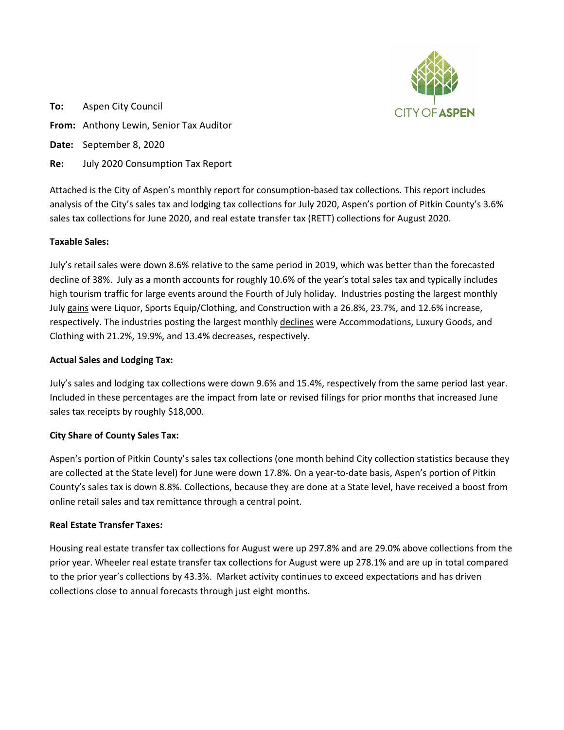

**To:** Aspen City Council **From:** Anthony Lewin, Senior Tax Auditor **Date:** September 8, 2020 **Re:** July 2020 Consumption Tax Report

Attached is the City of Aspen's monthly report for consumption-based tax collections. This report includes analysis of the City's sales tax and lodging tax collections for July 2020, Aspen's portion of Pitkin County's 3.6% sales tax collections for June 2020, and real estate transfer tax (RETT) collections for August 2020.

## **Taxable Sales:**

July's retail sales were down 8.6% relative to the same period in 2019, which was better than the forecasted decline of 38%. July as a month accounts for roughly 10.6% of the year's total sales tax and typically includes high tourism traffic for large events around the Fourth of July holiday. Industries posting the largest monthly July gains were Liquor, Sports Equip/Clothing, and Construction with a 26.8%, 23.7%, and 12.6% increase, respectively. The industries posting the largest monthly declines were Accommodations, Luxury Goods, and Clothing with 21.2%, 19.9%, and 13.4% decreases, respectively.

## **Actual Sales and Lodging Tax:**

July's sales and lodging tax collections were down 9.6% and 15.4%, respectively from the same period last year. Included in these percentages are the impact from late or revised filings for prior months that increased June sales tax receipts by roughly \$18,000.

## **City Share of County Sales Tax:**

Aspen's portion of Pitkin County's sales tax collections (one month behind City collection statistics because they are collected at the State level) for June were down 17.8%. On a year-to-date basis, Aspen's portion of Pitkin County's sales tax is down 8.8%. Collections, because they are done at a State level, have received a boost from online retail sales and tax remittance through a central point.

## **Real Estate Transfer Taxes:**

Housing real estate transfer tax collections for August were up 297.8% and are 29.0% above collections from the prior year. Wheeler real estate transfer tax collections for August were up 278.1% and are up in total compared to the prior year's collections by 43.3%. Market activity continues to exceed expectations and has driven collections close to annual forecasts through just eight months.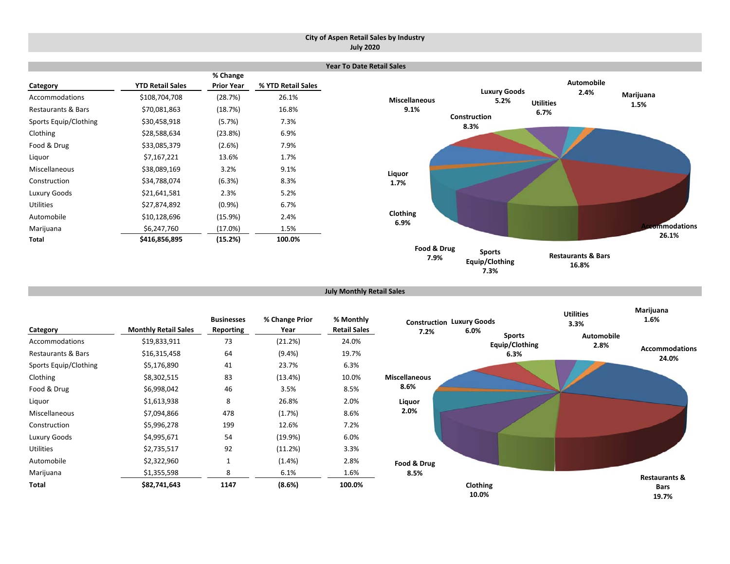### **City of Aspen Retail Sales by Industry July 2020**

|                               |                         |                               |                    | <b>Year To Date Retail Sales</b> |                             |                  |                     |               |
|-------------------------------|-------------------------|-------------------------------|--------------------|----------------------------------|-----------------------------|------------------|---------------------|---------------|
| Category                      | <b>YTD Retail Sales</b> | % Change<br><b>Prior Year</b> | % YTD Retail Sales |                                  |                             |                  | <b>Automobile</b>   |               |
| Accommodations                | \$108,704,708           | (28.7%)                       | 26.1%              | <b>Miscellaneous</b>             | <b>Luxury Goods</b><br>5.2% | <b>Utilities</b> | 2.4%                | Marijuana     |
| <b>Restaurants &amp; Bars</b> | \$70,081,863            | (18.7%)                       | 16.8%              | 9.1%                             |                             | 6.7%             |                     | 1.5%          |
| Sports Equip/Clothing         | \$30,458,918            | (5.7%)                        | 7.3%               |                                  | Construction<br>8.3%        |                  |                     |               |
| Clothing                      | \$28,588,634            | (23.8%)                       | 6.9%               |                                  |                             |                  |                     |               |
| Food & Drug                   | \$33,085,379            | (2.6%)                        | 7.9%               |                                  |                             |                  |                     |               |
| Liquor                        | \$7,167,221             | 13.6%                         | 1.7%               |                                  |                             |                  |                     |               |
| Miscellaneous                 | \$38,089,169            | 3.2%                          | 9.1%               | Liquor                           |                             |                  |                     |               |
| Construction                  | \$34,788,074            | (6.3%)                        | 8.3%               | 1.7%                             |                             |                  |                     |               |
| Luxury Goods                  | \$21,641,581            | 2.3%                          | 5.2%               |                                  |                             |                  |                     |               |
| <b>Utilities</b>              | \$27,874,892            | $(0.9\%)$                     | 6.7%               |                                  |                             |                  |                     |               |
| Automobile                    | \$10,128,696            | (15.9%)                       | 2.4%               | Clothing                         |                             |                  |                     |               |
| Marijuana                     | \$6,247,760             | (17.0%)                       | 1.5%               | 6.9%                             |                             |                  |                     | ccommodations |
| Total                         | \$416,856,895           | (15.2%)                       | 100.0%             |                                  |                             |                  |                     | 26.1%         |
|                               |                         |                               |                    | Food & Drug                      | <b>Sports</b>               |                  | Doctourants 9, Dars |               |

**Equip/Clothing 7.3%**

**Restaurants & Bars 16.8%**

**July Monthly Retail Sales**

**7.9%**

| Category              | <b>Monthly Retail Sales</b> | <b>Businesses</b><br>Reporting | % Change Prior<br>Year | % Monthly<br><b>Retail Sales</b> | 7.2%                 | <b>Construction Luxury Goods</b><br>6.0% |                                 | <b>Utilities</b><br>3.3%  | Marijuana<br>1.6%              |
|-----------------------|-----------------------------|--------------------------------|------------------------|----------------------------------|----------------------|------------------------------------------|---------------------------------|---------------------------|--------------------------------|
| Accommodations        | \$19,833,911                | 73                             | (21.2%)                | 24.0%                            |                      |                                          | <b>Sports</b><br>Equip/Clothing | <b>Automobile</b><br>2.8% |                                |
| Restaurants & Bars    | \$16,315,458                | 64                             | $(9.4\%)$              | 19.7%                            |                      |                                          | 6.3%                            |                           | <b>Accommodations</b><br>24.0% |
| Sports Equip/Clothing | \$5,176,890                 | 41                             | 23.7%                  | 6.3%                             |                      |                                          |                                 |                           |                                |
| Clothing              | \$8,302,515                 | 83                             | (13.4%)                | 10.0%                            | <b>Miscellaneous</b> |                                          |                                 |                           |                                |
| Food & Drug           | \$6,998,042                 | 46                             | 3.5%                   | 8.5%                             | 8.6%                 |                                          |                                 |                           |                                |
| Liquor                | \$1,613,938                 | 8                              | 26.8%                  | 2.0%                             | Liquor               |                                          |                                 |                           |                                |
| Miscellaneous         | \$7,094,866                 | 478                            | (1.7%)                 | 8.6%                             | 2.0%                 |                                          |                                 |                           |                                |
| Construction          | \$5,996,278                 | 199                            | 12.6%                  | 7.2%                             |                      |                                          |                                 |                           |                                |
| Luxury Goods          | \$4,995,671                 | 54                             | (19.9%)                | 6.0%                             |                      |                                          |                                 |                           |                                |
| Utilities             | \$2,735,517                 | 92                             | (11.2%)                | 3.3%                             |                      |                                          |                                 |                           |                                |
| Automobile            | \$2,322,960                 | 1                              | (1.4%)                 | 2.8%                             | Food & Drug          |                                          |                                 |                           |                                |
| Marijuana             | \$1,355,598                 | 8                              | 6.1%                   | 1.6%                             | 8.5%                 |                                          |                                 |                           | <b>Restaurants &amp;</b>       |
| Total                 | \$82,741,643                | 1147                           | (8.6%)                 | 100.0%                           |                      | Clothing<br>10.0%                        |                                 |                           | <b>Bars</b><br>19.7%           |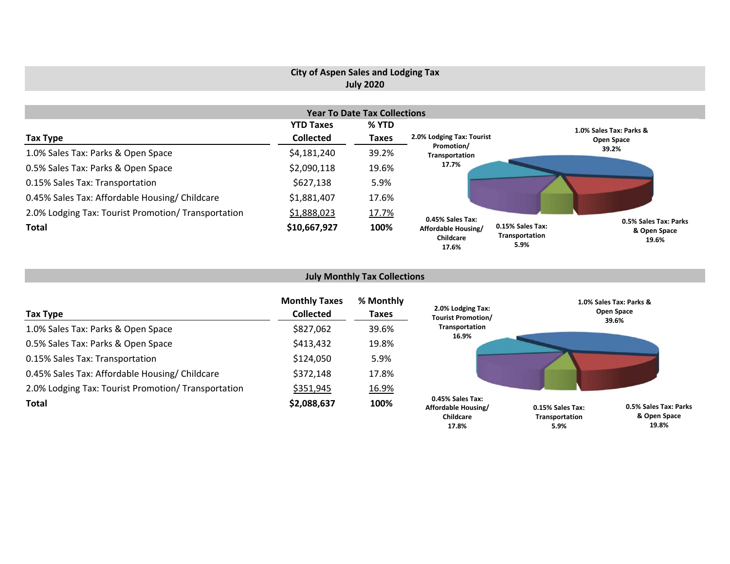# **City of Aspen Sales and Lodging Tax July 2020**

| <b>Year To Date Tax Collections</b>                 |                  |              |                                                               |                                            |                                                |  |  |  |  |  |
|-----------------------------------------------------|------------------|--------------|---------------------------------------------------------------|--------------------------------------------|------------------------------------------------|--|--|--|--|--|
|                                                     | <b>YTD Taxes</b> | % YTD        |                                                               |                                            | 1.0% Sales Tax: Parks &                        |  |  |  |  |  |
| Tax Type                                            | <b>Collected</b> | <b>Taxes</b> | 2.0% Lodging Tax: Tourist                                     |                                            | Open Space                                     |  |  |  |  |  |
| 1.0% Sales Tax: Parks & Open Space                  | \$4,181,240      | 39.2%        | Promotion/<br>Transportation                                  |                                            | 39.2%                                          |  |  |  |  |  |
| 0.5% Sales Tax: Parks & Open Space                  | \$2,090,118      | 19.6%        | 17.7%                                                         |                                            |                                                |  |  |  |  |  |
| 0.15% Sales Tax: Transportation                     | \$627,138        | 5.9%         |                                                               |                                            |                                                |  |  |  |  |  |
| 0.45% Sales Tax: Affordable Housing/ Childcare      | \$1,881,407      | 17.6%        |                                                               |                                            |                                                |  |  |  |  |  |
| 2.0% Lodging Tax: Tourist Promotion/ Transportation | \$1,888,023      | 17.7%        |                                                               |                                            |                                                |  |  |  |  |  |
| <b>Total</b>                                        | \$10,667,927     | 100%         | 0.45% Sales Tax:<br>Affordable Housing/<br>Childcare<br>17.6% | 0.15% Sales Tax:<br>Transportation<br>5.9% | 0.5% Sales Tax: Parks<br>& Open Space<br>19.6% |  |  |  |  |  |

# **July Monthly Tax Collections**

| Tax Type                                            | <b>Monthly Taxes</b><br><b>Collected</b> | % Monthly<br>Taxes | 2.0% Lodging Tax:<br><b>Tourist Promotion/</b>       | 1.0% Sales Tax: Parks &<br>Open Space<br>39.6%                              |
|-----------------------------------------------------|------------------------------------------|--------------------|------------------------------------------------------|-----------------------------------------------------------------------------|
| 1.0% Sales Tax: Parks & Open Space                  | \$827,062                                | 39.6%              | Transportation                                       |                                                                             |
| 0.5% Sales Tax: Parks & Open Space                  | \$413,432                                | 19.8%              | 16.9%                                                |                                                                             |
| 0.15% Sales Tax: Transportation                     | \$124,050                                | 5.9%               |                                                      |                                                                             |
| 0.45% Sales Tax: Affordable Housing/ Childcare      | \$372,148                                | 17.8%              |                                                      |                                                                             |
| 2.0% Lodging Tax: Tourist Promotion/ Transportation | \$351,945                                | 16.9%              |                                                      |                                                                             |
| <b>Total</b>                                        | \$2,088,637                              | 100%               | 0.45% Sales Tax:<br>Affordable Housing/<br>Childcare | 0.5% Sales Tax: Parks<br>0.15% Sales Tax:<br>& Open Space<br>Transportation |

**19.8%**

**5.9%**

**17.8%**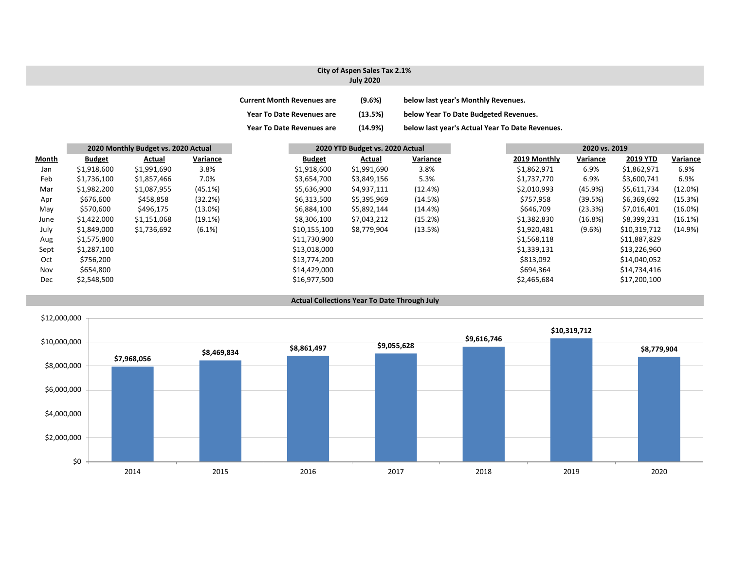#### **City of Aspen Sales Tax 2.1% July 2020**

| <b>Current Month Revenues are</b> | (9.6%)  | below last year's Monthly Revenues.             |
|-----------------------------------|---------|-------------------------------------------------|
| <b>Year To Date Revenues are</b>  | (13.5%) | below Year To Date Budgeted Revenues.           |
| <b>Year To Date Revenues are</b>  | (14.9%) | below last year's Actual Year To Date Revenues. |

|       | 2020 Monthly Budget vs. 2020 Actual |             | 2020 YTD Budget vs. 2020 Actual |               |             |            | 2020 vs. 2019 |          |              |          |
|-------|-------------------------------------|-------------|---------------------------------|---------------|-------------|------------|---------------|----------|--------------|----------|
| Month | <b>Budget</b>                       | Actual      | Variance                        | <b>Budget</b> | Actual      | Variance   | 2019 Monthly  | Variance | 2019 YTD     | Variance |
| Jan   | \$1,918,600                         | \$1,991,690 | 3.8%                            | \$1,918,600   | \$1,991,690 | 3.8%       | \$1,862,971   | 6.9%     | \$1,862,971  | 6.9%     |
| Feb   | \$1,736,100                         | \$1,857,466 | 7.0%                            | \$3,654,700   | \$3,849,156 | 5.3%       | \$1,737,770   | 6.9%     | \$3,600,741  | 6.9%     |
| Mar   | \$1,982,200                         | \$1,087,955 | (45.1%)                         | \$5,636,900   | \$4,937,111 | (12.4%)    | \$2,010,993   | (45.9%)  | \$5,611,734  | (12.0%)  |
| Apr   | \$676,600                           | \$458,858   | (32.2%)                         | \$6,313,500   | \$5,395,969 | (14.5%)    | \$757,958     | (39.5%)  | \$6,369,692  | (15.3%)  |
| May   | \$570,600                           | \$496,175   | $(13.0\%)$                      | \$6,884,100   | \$5,892,144 | $(14.4\%)$ | \$646,709     | (23.3%)  | \$7,016,401  | (16.0%)  |
| June  | \$1,422,000                         | \$1,151,068 | (19.1%)                         | \$8,306,100   | \$7,043,212 | (15.2%)    | \$1,382,830   | (16.8%)  | \$8,399,231  | (16.1%)  |
| July  | \$1,849,000                         | \$1,736,692 | $(6.1\%)$                       | \$10,155,100  | \$8,779,904 | (13.5%)    | \$1,920,481   | (9.6%)   | \$10,319,712 | (14.9%)  |
| Aug   | \$1,575,800                         |             |                                 | \$11,730,900  |             |            | \$1,568,118   |          | \$11,887,829 |          |
| Sept  | \$1,287,100                         |             |                                 | \$13,018,000  |             |            | \$1,339,131   |          | \$13,226,960 |          |
| Oct   | \$756,200                           |             |                                 | \$13,774,200  |             |            | \$813,092     |          | \$14,040,052 |          |
| Nov   | \$654,800                           |             |                                 | \$14,429,000  |             |            | \$694,364     |          | \$14,734,416 |          |
| Dec   | \$2,548,500                         |             |                                 | \$16,977,500  |             |            | \$2,465,684   |          | \$17,200,100 |          |

#### **Actual Collections Year To Date Through July**

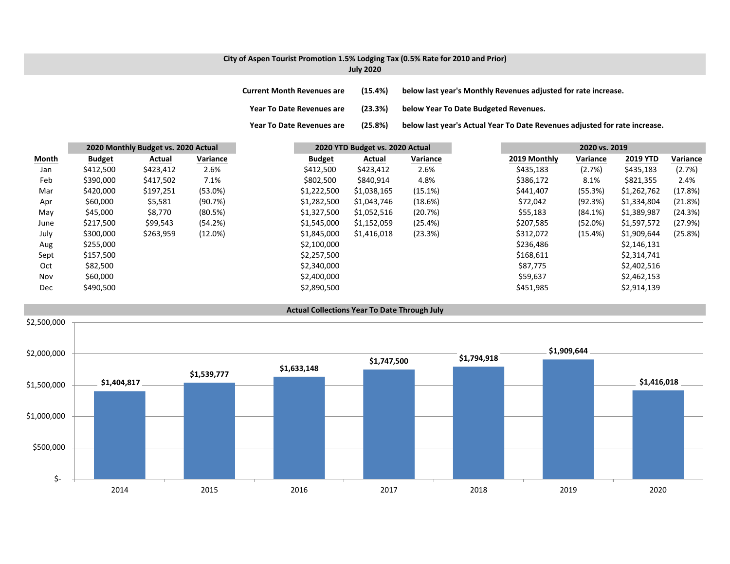### **City of Aspen Tourist Promotion 1.5% Lodging Tax (0.5% Rate for 2010 and Prior) July 2020**

**Year To**

**Current MonthRevenues are (15.4%) below last year's Monthly Revenues adjusted for rate increase.**

**Year ToDate Revenues are (23.3%) below Year To Date Budgeted Revenues.**

(25.8%) below last year's Actual Year To Date Revenues adjusted for rate increase.

|              | 2020 Monthly Budget vs. 2020 Actual |           |            |               | 2020 YTD Budget vs. 2020 Actual |          | 2020 vs. 2019 |              |            |                 |          |  |
|--------------|-------------------------------------|-----------|------------|---------------|---------------------------------|----------|---------------|--------------|------------|-----------------|----------|--|
| <b>Month</b> | <b>Budget</b>                       | Actual    | Variance   | <b>Budget</b> | Actual                          | Variance |               | 2019 Monthly | Variance   | <b>2019 YTD</b> | Variance |  |
| Jan          | \$412,500                           | \$423,412 | 2.6%       | \$412,500     | \$423,412                       | 2.6%     |               | \$435,183    | (2.7%)     | \$435,183       | (2.7%)   |  |
| Feb          | \$390,000                           | \$417,502 | 7.1%       | \$802,500     | \$840,914                       | 4.8%     |               | \$386,172    | 8.1%       | \$821,355       | 2.4%     |  |
| Mar          | \$420,000                           | \$197,251 | $(53.0\%)$ | \$1,222,500   | \$1,038,165                     | (15.1%)  |               | \$441,407    | (55.3%)    | \$1,262,762     | (17.8%)  |  |
| Apr          | \$60,000                            | \$5,581   | (90.7%)    | \$1,282,500   | \$1,043,746                     | (18.6%)  |               | \$72,042     | (92.3%)    | \$1,334,804     | (21.8%)  |  |
| May          | \$45,000                            | \$8,770   | (80.5%)    | \$1,327,500   | \$1,052,516                     | (20.7%)  |               | \$55,183     | $(84.1\%)$ | \$1,389,987     | (24.3%)  |  |
| June         | \$217,500                           | \$99,543  | (54.2%)    | \$1,545,000   | \$1,152,059                     | (25.4%)  |               | \$207,585    | (52.0%)    | \$1,597,572     | (27.9%)  |  |
| July         | \$300,000                           | \$263,959 | $(12.0\%)$ | \$1,845,000   | \$1,416,018                     | (23.3%)  |               | \$312,072    | (15.4%)    | \$1,909,644     | (25.8%)  |  |
| Aug          | \$255,000                           |           |            | \$2,100,000   |                                 |          |               | \$236,486    |            | \$2,146,131     |          |  |
| Sept         | \$157,500                           |           |            | \$2,257,500   |                                 |          |               | \$168,611    |            | \$2,314,741     |          |  |
| Oct          | \$82,500                            |           |            | \$2,340,000   |                                 |          |               | \$87,775     |            | \$2,402,516     |          |  |
| Nov          | \$60,000                            |           |            | \$2,400,000   |                                 |          |               | \$59,637     |            | \$2,462,153     |          |  |
| <b>Dec</b>   | \$490,500                           |           |            | \$2,890,500   |                                 |          |               | \$451,985    |            | \$2,914,139     |          |  |

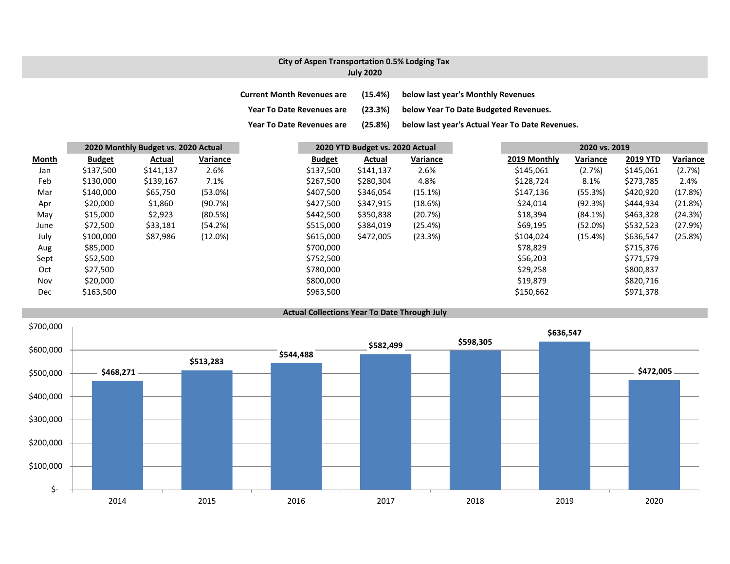### **City of Aspen Transportation 0.5% Lodging Tax July 2020**

| <b>Current Month Revenues are</b> | (15.4%) | below last year's Monthly Revenues              |
|-----------------------------------|---------|-------------------------------------------------|
| <b>Year To Date Revenues are</b>  | (23.3%) | below Year To Date Budgeted Revenues.           |
| <b>Year To Date Revenues are</b>  | (25.8%) | below last year's Actual Year To Date Revenues. |

|              | 2020 Monthly Budget vs. 2020 Actual |           |          |           | 2020 YTD Budget vs. 2020 Actual |           |          |  |              |          |                 |          |
|--------------|-------------------------------------|-----------|----------|-----------|---------------------------------|-----------|----------|--|--------------|----------|-----------------|----------|
| <u>Month</u> | <b>Budget</b>                       | Actual    | Variance |           | <b>Budget</b>                   | Actual    | Variance |  | 2019 Monthly | Variance | <b>2019 YTD</b> | Variance |
| Jan          | \$137,500                           | \$141,137 | 2.6%     |           | \$137,500                       | \$141,137 | 2.6%     |  | \$145,061    | (2.7%)   | \$145,061       | (2.7%)   |
| Feb          | \$130,000                           | \$139,167 | 7.1%     |           | \$267,500                       | \$280,304 | 4.8%     |  | \$128,724    | 8.1%     | \$273,785       | 2.4%     |
| Mar          | \$140,000                           | \$65,750  | (53.0%)  |           | \$407,500                       | \$346,054 | (15.1%)  |  | \$147,136    | (55.3%)  | \$420,920       | (17.8%)  |
| Apr          | \$20,000                            | \$1,860   | (90.7%)  |           | \$427,500                       | \$347,915 | (18.6%)  |  | \$24,014     | (92.3%)  | \$444,934       | (21.8%)  |
| May          | \$15,000                            | \$2,923   | (80.5%)  |           | \$442,500                       | \$350,838 | (20.7%)  |  | \$18,394     | (84.1%)  | \$463,328       | (24.3%)  |
| June         | \$72,500                            | \$33,181  | (54.2%)  |           | \$515,000                       | \$384,019 | (25.4%)  |  | \$69,195     | (52.0%)  | \$532,523       | (27.9%)  |
| July         | \$100,000                           | \$87,986  | (12.0%)  |           | \$615,000                       | \$472,005 | (23.3%)  |  | \$104,024    | (15.4%)  | \$636,547       | (25.8%)  |
| Aug          | \$85,000                            |           |          |           | \$700,000                       |           |          |  | \$78,829     |          | \$715,376       |          |
| Sept         | \$52,500                            |           |          | \$752,500 |                                 |           |          |  | \$56,203     |          | \$771,579       |          |
| Oct          | \$27,500                            |           |          |           | \$780,000                       |           |          |  | \$29,258     |          | \$800,837       |          |
| Nov          | \$20,000                            |           |          |           | \$800,000                       |           |          |  | \$19,879     |          | \$820,716       |          |
| Dec          | \$163,500                           |           |          |           | \$963,500                       |           |          |  | \$150,662    |          | \$971,378       |          |

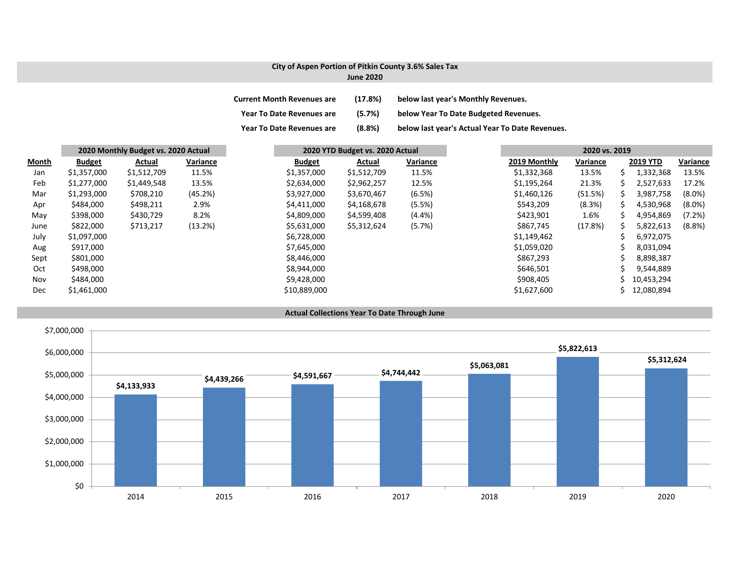### **City of Aspen Portion of Pitkin County 3.6% Sales Tax**

| <b>June 2020</b> |  |
|------------------|--|
|                  |  |

| <b>Current Month Revenues are</b> | (17.8%) | below last year's Monthly Revenues.             |
|-----------------------------------|---------|-------------------------------------------------|
| <b>Year To Date Revenues are</b>  | (5.7%)  | below Year To Date Budgeted Revenues.           |
| <b>Year To Date Revenues are</b>  | (8.8%)  | below last year's Actual Year To Date Revenues. |

|              | 2020 Monthly Budget vs. 2020 Actual |             |          | 2020 YTD Budget vs. 2020 Actual |             |           | 2020 vs. 2019 |          |    |                 |           |
|--------------|-------------------------------------|-------------|----------|---------------------------------|-------------|-----------|---------------|----------|----|-----------------|-----------|
| <b>Month</b> | <b>Budget</b>                       | Actual      | Variance | <b>Budget</b>                   | Actual      | Variance  | 2019 Monthly  | Variance |    | <b>2019 YTD</b> | Variance  |
| Jan          | \$1,357,000                         | \$1,512,709 | 11.5%    | \$1,357,000                     | \$1,512,709 | 11.5%     | \$1,332,368   | 13.5%    | s  | 1,332,368       | 13.5%     |
| Feb          | \$1,277,000                         | \$1,449,548 | 13.5%    | \$2,634,000                     | \$2,962,257 | 12.5%     | \$1,195,264   | 21.3%    | ╰  | 2,527,633       | 17.2%     |
| Mar          | \$1,293,000                         | \$708,210   | (45.2%)  | \$3,927,000                     | \$3,670,467 | (6.5%)    | \$1,460,126   | (51.5%)  |    | 3,987,758       | $(8.0\%)$ |
| Apr          | \$484,000                           | \$498,211   | 2.9%     | \$4,411,000                     | \$4,168,678 | (5.5%)    | \$543,209     | (8.3%)   |    | 4,530,968       | $(8.0\%)$ |
| May          | \$398,000                           | \$430,729   | 8.2%     | \$4,809,000                     | \$4,599,408 | $(4.4\%)$ | \$423,901     | 1.6%     | S. | 4,954,869       | (7.2%)    |
| June         | \$822,000                           | \$713,217   | (13.2%)  | \$5,631,000                     | \$5,312,624 | (5.7%)    | \$867,745     | (17.8%)  |    | 5,822,613       | (8.8%)    |
| July         | \$1,097,000                         |             |          | \$6,728,000                     |             |           | \$1,149,462   |          |    | 6,972,075       |           |
| Aug          | \$917,000                           |             |          | \$7,645,000                     |             |           | \$1,059,020   |          |    | 8,031,094       |           |
| Sept         | \$801,000                           |             |          | \$8,446,000                     |             |           | \$867,293     |          |    | 8,898,387       |           |
| Oct          | \$498,000                           |             |          | \$8,944,000                     |             |           | \$646,501     |          |    | 9,544,889       |           |
| Nov          | \$484,000                           |             |          | \$9,428,000                     |             |           | \$908,405     |          | S  | 10,453,294      |           |
| Dec          | \$1,461,000                         |             |          | \$10,889,000                    |             |           | \$1,627,600   |          |    | 12,080,894      |           |



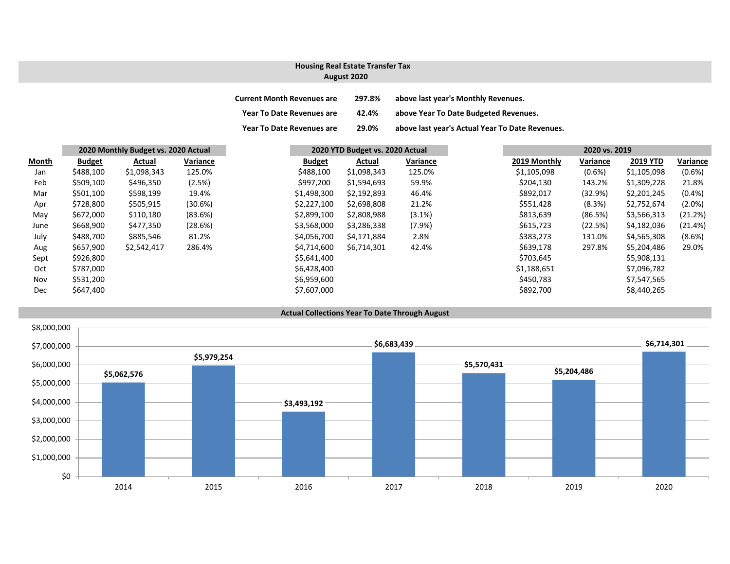### **August 2020 Housing Real Estate Transfer Tax**

| <b>Current Month Revenues are</b> | 297.8% | above last year's Monthly Revenues.             |
|-----------------------------------|--------|-------------------------------------------------|
| <b>Year To Date Revenues are</b>  | 42.4%  | above Year To Date Budgeted Revenues.           |
| <b>Year To Date Revenues are</b>  | 29.0%  | above last year's Actual Year To Date Revenues. |

|            | 2020 Monthly Budget vs. 2020 Actual |             |          |               | 2020 YTD Budget vs. 2020 Actual |           |  | 2020 vs. 2019 |           |                 |           |
|------------|-------------------------------------|-------------|----------|---------------|---------------------------------|-----------|--|---------------|-----------|-----------------|-----------|
| Month      | <b>Budget</b>                       | Actual      | Variance | <b>Budget</b> | Actual                          | Variance  |  | 2019 Monthly  | Variance  | <b>2019 YTD</b> | Variance  |
| Jan        | \$488,100                           | \$1,098,343 | 125.0%   | \$488,100     | \$1,098,343                     | 125.0%    |  | \$1,105,098   | $(0.6\%)$ | \$1,105,098     | $(0.6\%)$ |
| Feb        | \$509,100                           | \$496,350   | (2.5%)   | \$997,200     | \$1,594,693                     | 59.9%     |  | \$204,130     | 143.2%    | \$1,309,228     | 21.8%     |
| Mar        | \$501,100                           | \$598,199   | 19.4%    | \$1,498,300   | \$2,192,893                     | 46.4%     |  | \$892,017     | (32.9%)   | \$2,201,245     | $(0.4\%)$ |
| Apr        | \$728,800                           | \$505,915   | (30.6%)  | \$2,227,100   | \$2,698,808                     | 21.2%     |  | \$551,428     | (8.3%)    | \$2,752,674     | $(2.0\%)$ |
| May        | \$672,000                           | \$110,180   | (83.6%)  | \$2,899,100   | \$2,808,988                     | (3.1%)    |  | \$813,639     | (86.5%)   | \$3,566,313     | (21.2%)   |
| June       | \$668,900                           | \$477,350   | (28.6%)  | \$3,568,000   | \$3,286,338                     | $(7.9\%)$ |  | \$615,723     | (22.5%)   | \$4,182,036     | (21.4%)   |
| July       | \$488,700                           | \$885,546   | 81.2%    | \$4,056,700   | \$4,171,884                     | 2.8%      |  | \$383,273     | 131.0%    | \$4,565,308     | $(8.6\%)$ |
| Aug        | \$657,900                           | \$2,542,417 | 286.4%   | \$4,714,600   | \$6,714,301                     | 42.4%     |  | \$639,178     | 297.8%    | \$5,204,486     | 29.0%     |
| Sept       | \$926,800                           |             |          | \$5,641,400   |                                 |           |  | \$703,645     |           | \$5,908,131     |           |
| Oct        | \$787,000                           |             |          | \$6,428,400   |                                 |           |  | \$1,188,651   |           | \$7,096,782     |           |
| Nov        | \$531,200                           |             |          | \$6,959,600   |                                 |           |  | \$450,783     |           | \$7,547,565     |           |
| <b>Dec</b> | \$647,400                           |             |          | \$7,607,000   |                                 |           |  | \$892,700     |           | \$8,440,265     |           |